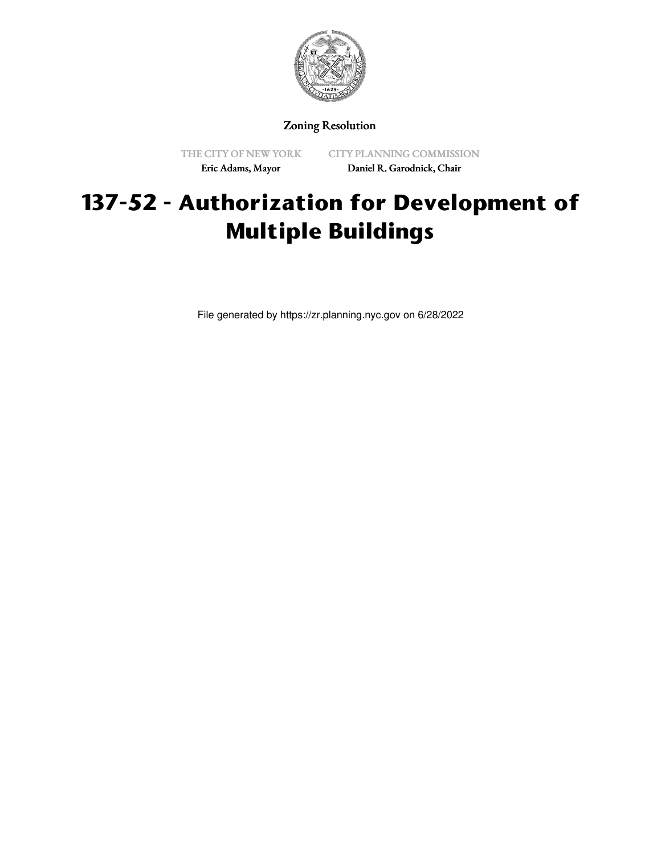

## Zoning Resolution

THE CITY OF NEW YORK Eric Adams, Mayor

CITY PLANNING COMMISSION Daniel R. Garodnick, Chair

## **137-52 - Authorization for Development of Multiple Buildings**

File generated by https://zr.planning.nyc.gov on 6/28/2022